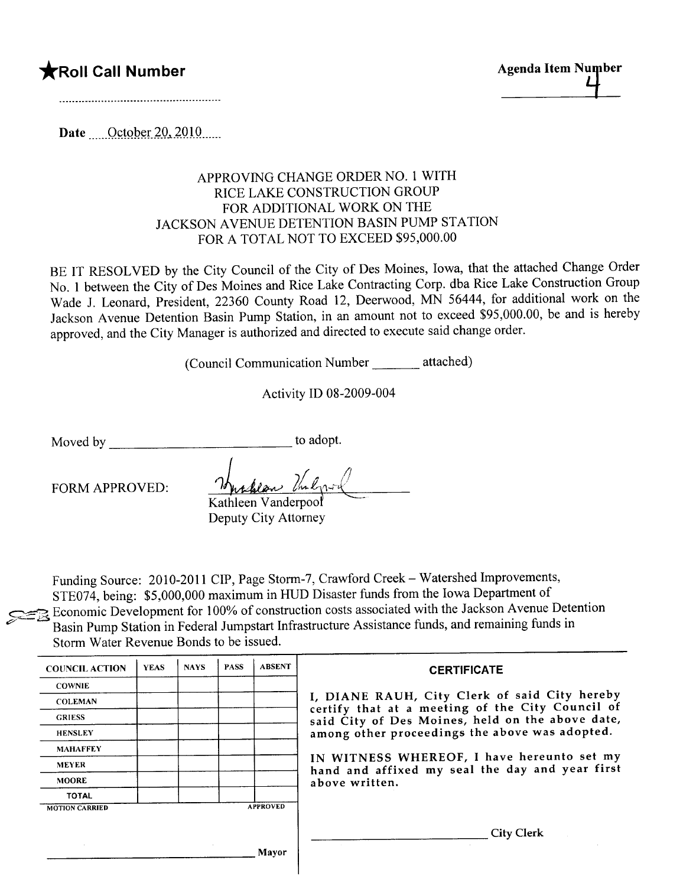## \*Roll Call Number Agenda Item Number



Date Cotober 20, 2010

## APPROVING CHANGE ORDER NO.1 WITH RICE LAKE CONSTRUCTION GROUP FOR ADDITIONAL WORK ON THE JACKSON AVENUE DETENTION BASIN PUMP STATION FOR A TOTAL NOT TO EXCEED \$95,000.00

BE IT RESOLVED by the City Council of the City of Des Moines, Iowa, that the attached Change Order No. 1 between the City of Des Moines and Rice Lake Contracting Corp. dba Rice Lake Construction Group Wade J. Leonard, President, 22360 County Road 12, Deerwood, MN 56444, for additional work on the Jackson Avenue Detention Basin Pump Station, in an amount not to exceed \$95,000.00, be and is hereby approved, and the City Manager is authorized and directed to execute said change order.

(Council Communication Number attached)

Activity ID 08-2009-004

Moved by to adopt.

FORM APPROVED:

to adopt. Kathleen Vanderpool Deputy City Attorney

Funding Source: 2010-2011 CIP, Page Storm-7, Crawford Creek - Watershed Improvements, STE074, being: \$5,000,000 maximum in HUD Disaster funds from the Iowa Department of<br>Economic Development for 100% of construction costs associated with the Jackson Avenue Detention Basin Pump Station in Federal Jumpstart Infrastructure Assistance funds, and remaining funds in Storm Water Revenue Bonds to be issued.

| <b>COUNCIL ACTION</b> | <b>YEAS</b> | <b>NAYS</b> | <b>PASS</b> | <b>ABSENT</b>   | <b>CERTIFICATE</b>                                                                                                                                                                                                                                                                                                         |
|-----------------------|-------------|-------------|-------------|-----------------|----------------------------------------------------------------------------------------------------------------------------------------------------------------------------------------------------------------------------------------------------------------------------------------------------------------------------|
| <b>COWNIE</b>         |             |             |             |                 | I, DIANE RAUH, City Clerk of said City hereby<br>certify that at a meeting of the City Council of<br>said City of Des Moines, held on the above date,<br>among other proceedings the above was adopted.<br>IN WITNESS WHEREOF, I have hereunto set my<br>hand and affixed my seal the day and year first<br>above written. |
| <b>COLEMAN</b>        |             |             |             |                 |                                                                                                                                                                                                                                                                                                                            |
| <b>GRIESS</b>         |             |             |             |                 |                                                                                                                                                                                                                                                                                                                            |
| <b>HENSLEY</b>        |             |             |             |                 |                                                                                                                                                                                                                                                                                                                            |
| <b>MAHAFFEY</b>       |             |             |             |                 |                                                                                                                                                                                                                                                                                                                            |
| <b>MEYER</b>          |             |             |             |                 |                                                                                                                                                                                                                                                                                                                            |
| <b>MOORE</b>          |             |             |             |                 |                                                                                                                                                                                                                                                                                                                            |
| <b>TOTAL</b>          |             |             |             |                 |                                                                                                                                                                                                                                                                                                                            |
| <b>MOTION CARRIED</b> |             |             |             | <b>APPROVED</b> |                                                                                                                                                                                                                                                                                                                            |
|                       |             |             |             |                 |                                                                                                                                                                                                                                                                                                                            |
|                       |             |             |             |                 | <b>City Clerk</b>                                                                                                                                                                                                                                                                                                          |
| Mavor                 |             |             |             |                 |                                                                                                                                                                                                                                                                                                                            |